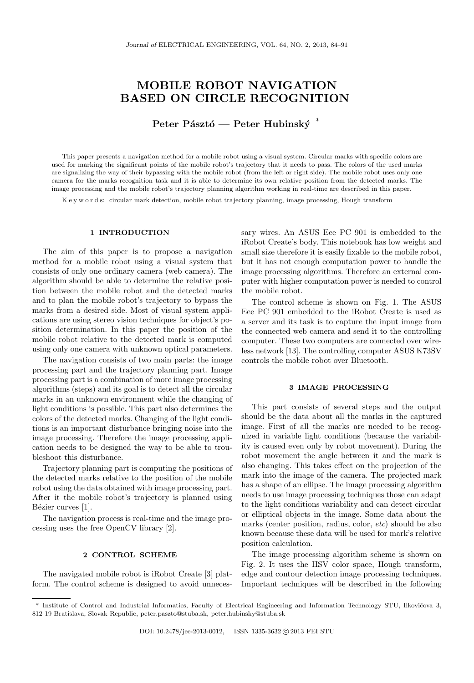# MOBILE ROBOT NAVIGATION BASED ON CIRCLE RECOGNITION

Peter Pásztó — Peter Hubinský<sup>\*</sup>

This paper presents a navigation method for a mobile robot using a visual system. Circular marks with specific colors are used for marking the significant points of the mobile robot's trajectory that it needs to pass. The colors of the used marks are signalizing the way of their bypassing with the mobile robot (from the left or right side). The mobile robot uses only one camera for the marks recognition task and it is able to determine its own relative position from the detected marks. The image processing and the mobile robot's trajectory planning algorithm working in real-time are described in this paper.

K e y w o r d s: circular mark detection, mobile robot trajectory planning, image processing, Hough transform

### 1 INTRODUCTION

The aim of this paper is to propose a navigation method for a mobile robot using a visual system that consists of only one ordinary camera (web camera). The algorithm should be able to determine the relative position between the mobile robot and the detected marks and to plan the mobile robot's trajectory to bypass the marks from a desired side. Most of visual system applications are using stereo vision techniques for object's position determination. In this paper the position of the mobile robot relative to the detected mark is computed using only one camera with unknown optical parameters.

The navigation consists of two main parts: the image processing part and the trajectory planning part. Image processing part is a combination of more image processing algorithms (steps) and its goal is to detect all the circular marks in an unknown environment while the changing of light conditions is possible. This part also determines the colors of the detected marks. Changing of the light conditions is an important disturbance bringing noise into the image processing. Therefore the image processing application needs to be designed the way to be able to troubleshoot this disturbance.

Trajectory planning part is computing the positions of the detected marks relative to the position of the mobile robot using the data obtained with image processing part. After it the mobile robot's trajectory is planned using Bézier curves [1].

The navigation process is real-time and the image processing uses the free OpenCV library [2].

### 2 CONTROL SCHEME

The navigated mobile robot is iRobot Create [3] platform. The control scheme is designed to avoid unnecessary wires. An ASUS Eee PC 901 is embedded to the iRobot Create's body. This notebook has low weight and small size therefore it is easily fixable to the mobile robot, but it has not enough computation power to handle the image processing algorithms. Therefore an external computer with higher computation power is needed to control the mobile robot.

The control scheme is shown on Fig. 1. The ASUS Eee PC 901 embedded to the iRobot Create is used as a server and its task is to capture the input image from the connected web camera and send it to the controlling computer. These two computers are connected over wireless network [13]. The controlling computer ASUS K73SV controls the mobile robot over Bluetooth.

### 3 IMAGE PROCESSING

This part consists of several steps and the output should be the data about all the marks in the captured image. First of all the marks are needed to be recognized in variable light conditions (because the variability is caused even only by robot movement). During the robot movement the angle between it and the mark is also changing. This takes effect on the projection of the mark into the image of the camera. The projected mark has a shape of an ellipse. The image processing algorithm needs to use image processing techniques those can adapt to the light conditions variability and can detect circular or elliptical objects in the image. Some data about the marks (center position, radius, color, etc) should be also known because these data will be used for mark's relative position calculation.

The image processing algorithm scheme is shown on Fig. 2. It uses the HSV color space, Hough transform, edge and contour detection image processing techniques. Important techniques will be described in the following

<sup>\*</sup> Institute of Control and Industrial Informatics, Faculty of Electrical Engineering and Information Technology STU, Ilkovičova 3, 812 19 Bratislava, Slovak Republic, peter.paszto@stuba.sk, peter.hubinsky@stuba.sk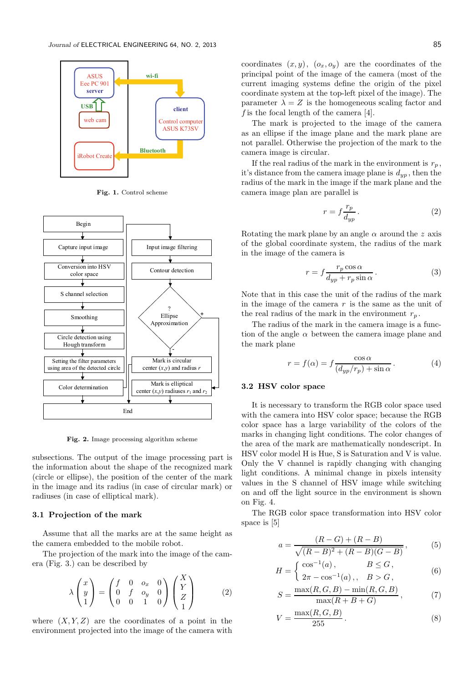

Fig. 1. Control scheme



Fig. 2. Image processing algorithm scheme

subsections. The output of the image processing part is the information about the shape of the recognized mark (circle or ellipse), the position of the center of the mark in the image and its radius (in case of circular mark) or radiuses (in case of elliptical mark).

### 3.1 Projection of the mark

Assume that all the marks are at the same height as the camera embedded to the mobile robot.

The projection of the mark into the image of the camera (Fig. 3.) can be described by

$$
\lambda \begin{pmatrix} x \\ y \\ 1 \end{pmatrix} = \begin{pmatrix} f & 0 & o_x & 0 \\ 0 & f & o_y & 0 \\ 0 & 0 & 1 & 0 \end{pmatrix} \begin{pmatrix} X \\ Y \\ Z \\ 1 \end{pmatrix}
$$
 (2)

where  $(X, Y, Z)$  are the coordinates of a point in the environment projected into the image of the camera with coordinates  $(x, y)$ ,  $(o_x, o_y)$  are the coordinates of the principal point of the image of the camera (most of the current imaging systems define the origin of the pixel coordinate system at the top-left pixel of the image). The parameter  $\lambda = Z$  is the homogeneous scaling factor and f is the focal length of the camera  $[4]$ .

The mark is projected to the image of the camera as an ellipse if the image plane and the mark plane are not parallel. Otherwise the projection of the mark to the camera image is circular.

If the real radius of the mark in the environment is  $r_p$ , it's distance from the camera image plane is  $d_{yp}$ , then the radius of the mark in the image if the mark plane and the camera image plan are parallel is

$$
r = f \frac{r_p}{d_{yp}} \,. \tag{2}
$$

Rotating the mark plane by an angle  $\alpha$  around the z axis of the global coordinate system, the radius of the mark in the image of the camera is

$$
r = f \frac{r_p \cos \alpha}{d_{yp} + r_p \sin \alpha}.
$$
 (3)

Note that in this case the unit of the radius of the mark in the image of the camera  $r$  is the same as the unit of the real radius of the mark in the environment  $r_p$ .

The radius of the mark in the camera image is a function of the angle  $\alpha$  between the camera image plane and the mark plane

$$
r = f(\alpha) = f \frac{\cos \alpha}{(d_{yp}/r_p) + \sin \alpha}.
$$
 (4)

### 3.2 HSV color space

It is necessary to transform the RGB color space used with the camera into HSV color space; because the RGB color space has a large variability of the colors of the marks in changing light conditions. The color changes of the area of the mark are mathematically nondescript. In HSV color model H is Hue, S is Saturation and V is value. Only the V channel is rapidly changing with changing light conditions. A minimal change in pixels intensity values in the S channel of HSV image while switching on and off the light source in the environment is shown on Fig. 4.

The RGB color space transformation into HSV color space is [5]

$$
a = \frac{(R - G) + (R - B)}{\sqrt{(R - B)^2 + (R - B)(G - B)}},
$$
(5)

$$
H = \begin{cases} \cos^{-1}(a), & B \le G, \\ 2\pi - \cos^{-1}(a), & B > G, \end{cases}
$$
 (6)

$$
S = \frac{\max(R, G, B) - \min(R, G, B)}{\max(R + B + G)},
$$
\n<sup>(7)</sup>

$$
V = \frac{\max(R, G, B)}{255}.
$$
\n
$$
(8)
$$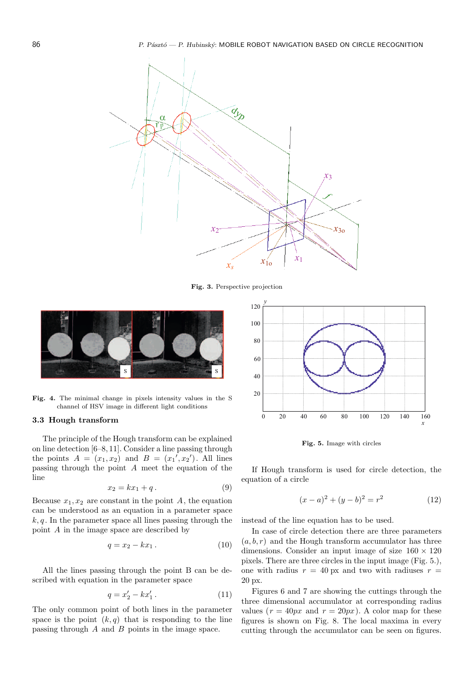

Fig. 3. Perspective projection



Fig. 4. The minimal change in pixels intensity values in the S channel of HSV image in different light conditions

### 3.3 Hough transform

The principle of the Hough transform can be explained on line detection [6–8, 11]. Consider a line passing through the points  $A = (x_1, x_2)$  and  $B = (x_1', x_2')$ . All lines passing through the point A meet the equation of the line

$$
x_2 = kx_1 + q. \tag{9}
$$

Because  $x_1, x_2$  are constant in the point A, the equation can be understood as an equation in a parameter space  $k, q$ . In the parameter space all lines passing through the point A in the image space are described by

$$
q = x_2 - kx_1. \tag{10}
$$

All the lines passing through the point B can be described with equation in the parameter space

$$
q = x_2' - kx_1' \,. \tag{11}
$$

The only common point of both lines in the parameter space is the point  $(k, q)$  that is responding to the line passing through A and B points in the image space.



Fig. 5. Image with circles

If Hough transform is used for circle detection, the equation of a circle

$$
(x-a)^2 + (y-b)^2 = r^2 \tag{12}
$$

instead of the line equation has to be used.

In case of circle detection there are three parameters  $(a, b, r)$  and the Hough transform accumulator has three dimensions. Consider an input image of size  $160 \times 120$ pixels. There are three circles in the input image (Fig. 5.), one with radius  $r = 40 \text{ px}$  and two with radiuses  $r =$ 20 px.

Figures 6 and 7 are showing the cuttings through the three dimensional accumulator at corresponding radius values ( $r = 40px$  and  $r = 20px$ ). A color map for these figures is shown on Fig. 8. The local maxima in every cutting through the accumulator can be seen on figures.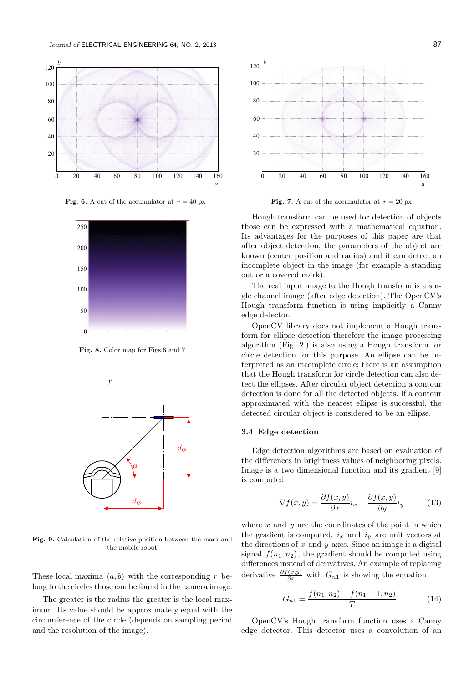

Fig. 6. A cut of the accumulator at  $r = 40$  px



Fig. 8. Color map for Figs.6 and 7



Fig. 9. Calculation of the relative position between the mark and the mobile robot

These local maxima  $(a, b)$  with the corresponding r belong to the circles those can be found in the camera image.

The greater is the radius the greater is the local maximum. Its value should be approximately equal with the circumference of the circle (depends on sampling period and the resolution of the image).



Fig. 7. A cut of the accumulator at  $r = 20$  px

Hough transform can be used for detection of objects those can be expressed with a mathematical equation. Its advantages for the purposes of this paper are that after object detection, the parameters of the object are known (center position and radius) and it can detect an incomplete object in the image (for example a standing out or a covered mark).

The real input image to the Hough transform is a single channel image (after edge detection). The OpenCV's Hough transform function is using implicitly a Canny edge detector.

OpenCV library does not implement a Hough transform for ellipse detection therefore the image processing algorithm (Fig. 2.) is also using a Hough transform for circle detection for this purpose. An ellipse can be interpreted as an incomplete circle; there is an assumption that the Hough transform for circle detection can also detect the ellipses. After circular object detection a contour detection is done for all the detected objects. If a contour approximated with the nearest ellipse is successful, the detected circular object is considered to be an ellipse.

# 3.4 Edge detection

Edge detection algorithms are based on evaluation of the differences in brightness values of neighboring pixels. Image is a two dimensional function and its gradient [9] is computed

$$
\nabla f(x,y) = \frac{\partial f(x,y)}{\partial x} i_x + \frac{\partial f(x,y)}{\partial y} i_y \tag{13}
$$

where  $x$  and  $y$  are the coordinates of the point in which the gradient is computed,  $i_x$  and  $i_y$  are unit vectors at the directions of  $x$  and  $y$  axes. Since an image is a digital signal  $f(n_1, n_2)$ , the gradient should be computed using differences instead of derivatives. An example of replacing derivative  $\frac{\partial f(x,y)}{\partial x}$  with  $G_{n1}$  is showing the equation

$$
G_{n1} = \frac{f(n_1, n_2) - f(n_1 - 1, n_2)}{T}.
$$
 (14)

OpenCV's Hough transform function uses a Canny edge detector. This detector uses a convolution of an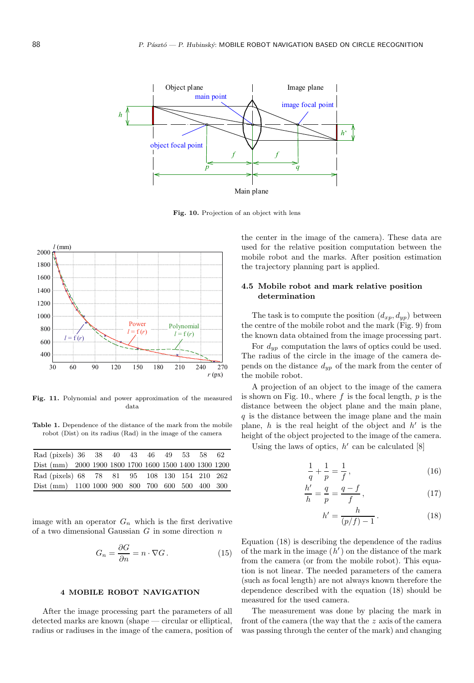

Fig. 10. Projection of an object with lens



Fig. 11. Polynomial and power approximation of the measured data

Table 1. Dependence of the distance of the mark from the mobile robot (Dist) on its radius (Rad) in the image of the camera

| Rad (pixels) 36 38 40 43 46 49 53 58 62                                           |  |  |  |  |  |
|-----------------------------------------------------------------------------------|--|--|--|--|--|
| Dist $\left( \mathrm{mm} \right)$ $-2000$ 1900 1800 1700 1600 1500 1400 1300 1200 |  |  |  |  |  |
|                                                                                   |  |  |  |  |  |
| Rad (pixels) 68 78 81 95 108 130 154 210 262                                      |  |  |  |  |  |

image with an operator  $G_n$  which is the first derivative of a two dimensional Gaussian  $G$  in some direction  $n$ 

$$
G_n = \frac{\partial G}{\partial n} = n \cdot \nabla G. \tag{15}
$$

## 4 MOBILE ROBOT NAVIGATION

After the image processing part the parameters of all detected marks are known (shape — circular or elliptical, radius or radiuses in the image of the camera, position of the center in the image of the camera). These data are used for the relative position computation between the mobile robot and the marks. After position estimation the trajectory planning part is applied.

### 4.5 Mobile robot and mark relative position determination

The task is to compute the position  $(d_{xp}, d_{yp})$  between the centre of the mobile robot and the mark (Fig. 9) from the known data obtained from the image processing part.

For  $d_{yp}$  computation the laws of optics could be used. The radius of the circle in the image of the camera depends on the distance  $d_{\eta p}$  of the mark from the center of the mobile robot.

A projection of an object to the image of the camera is shown on Fig. 10., where  $f$  is the focal length,  $p$  is the distance between the object plane and the main plane,  $q$  is the distance between the image plane and the main plane, h is the real height of the object and  $h'$  is the height of the object projected to the image of the camera.

Using the laws of optics,  $h'$  can be calculated  $[8]$ 

h

$$
\frac{1}{q} + \frac{1}{p} = \frac{1}{f},\tag{16}
$$

$$
\frac{h'}{h} = \frac{q}{p} = \frac{q - f}{f},\qquad(17)
$$

$$
h' = \frac{h}{(p/f) - 1}.
$$
\n(18)

Equation (18) is describing the dependence of the radius of the mark in the image  $(h')$  on the distance of the mark from the camera (or from the mobile robot). This equation is not linear. The needed parameters of the camera (such as focal length) are not always known therefore the dependence described with the equation (18) should be measured for the used camera.

The measurement was done by placing the mark in front of the camera (the way that the z axis of the camera was passing through the center of the mark) and changing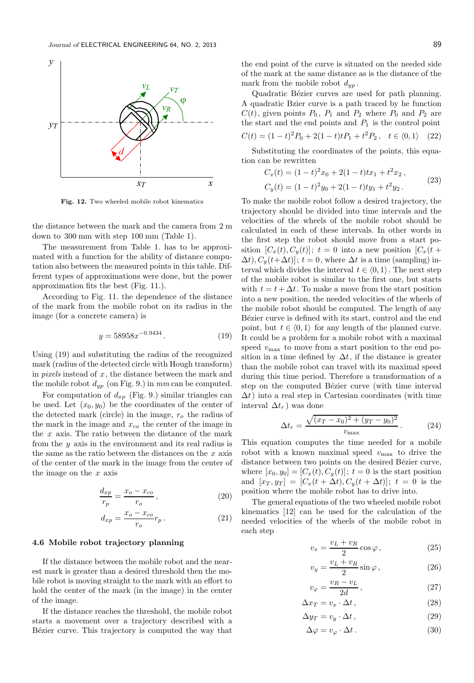

Fig. 12. Two wheeled mobile robot kinematics

the distance between the mark and the camera from 2 m down to 300 mm with step 100 mm (Table 1).

The measurement from Table 1. has to be approximated with a function for the ability of distance computation also between the measured points in this table. Different types of approximations were done, but the power approximation fits the best (Fig. 11.).

According to Fig. 11. the dependence of the distance of the mark from the mobile robot on its radius in the image (for a concrete camera) is

$$
y = 58958x^{-0.9434}.
$$
 (19)

Using (19) and substituting the radius of the recognized mark (radius of the detected circle with Hough transform) in *pixels* instead of  $x$ , the distance between the mark and the mobile robot  $d_{up}$  (on Fig. 9.) in mm can be computed.

For computation of  $d_{xp}$  (Fig. 9.) similar triangles can be used. Let  $(x_0, y_0)$  be the coordinates of the center of the detected mark (circle) in the image,  $r<sub>o</sub>$  the radius of the mark in the image and  $x_{co}$  the center of the image in the  $x$  axis. The ratio between the distance of the mark from the  $y$  axis in the environment and its real radius is the same as the ratio between the distances on the  $x$  axis of the center of the mark in the image from the center of the image on the  $x$  axis

$$
\frac{d_{xp}}{r_p} = \frac{x_o - x_{co}}{r_o},\tag{20}
$$

$$
d_{xp} = \frac{x_o - x_{co}}{r_o} r_p \,. \tag{21}
$$

### 4.6 Mobile robot trajectory planning

If the distance between the mobile robot and the nearest mark is greater than a desired threshold then the mobile robot is moving straight to the mark with an effort to hold the center of the mark (in the image) in the center of the image.

If the distance reaches the threshold, the mobile robot starts a movement over a trajectory described with a Bézier curve. This trajectory is computed the way that

the end point of the curve is situated on the needed side of the mark at the same distance as is the distance of the mark from the mobile robot  $d_{yp}$ .

Quadratic Bézier curves are used for path planning. A quadratic Bzier curve is a path traced by he function  $C(t)$ , given points  $P_0$ ,  $P_1$  and  $P_2$  where  $P_0$  and  $P_2$  are the start and the end points and  $P_1$  is the control point

$$
C(t) = (1-t)^2 P_0 + 2(1-t)t P_1 + t^2 P_2, \quad t \in \langle 0, 1 \rangle \quad (22)
$$

Substituting the coordinates of the points, this equation can be rewritten

$$
C_x(t) = (1-t)^2 x_0 + 2(1-t)tx_1 + t^2 x_2,
$$
  
\n
$$
C_y(t) = (1-t)^2 y_0 + 2(1-t)ty_1 + t^2 y_2.
$$
\n(23)

To make the mobile robot follow a desired trajectory, the trajectory should be divided into time intervals and the velocities of the wheels of the mobile robot should be calculated in each of these intervals. In other words in the first step the robot should move from a start position  $[C_x(t), C_y(t)]$ ;  $t = 0$  into a new position  $[C_x(t +$  $\Delta t$ ,  $C_y(t+\Delta t)$ ;  $t=0$ , where  $\Delta t$  is a time (sampling) interval which divides the interval  $t \in (0, 1)$ . The next step of the mobile robot is similar to the first one, but starts with  $t = t + \Delta t$ . To make a move from the start position into a new position, the needed velocities of the wheels of the mobile robot should be computed. The length of any Bézier curve is defined with its start, control and the end point, but  $t \in \langle 0, 1 \rangle$  for any length of the planned curve. It could be a problem for a mobile robot with a maximal speed  $v_{\text{max}}$  to move from a start position to the end position in a time defined by  $\Delta t$ , if the distance is greater than the mobile robot can travel with its maximal speed during this time period. Therefore a transformation of a step on the computed Bézier curve (with time interval  $\Delta t$ ) into a real step in Cartesian coordinates (with time interval  $\Delta t_r$ ) was done

$$
\Delta t_r = \frac{\sqrt{(x_T - x_0)^2 + (y_T - y_0)^2}}{v_{\text{max}}}.
$$
 (24)

This equation computes the time needed for a mobile robot with a known maximal speed  $v_{\text{max}}$  to drive the distance between two points on the desired Bézier curve, where  $[x_0, y_0] = [C_x(t), C_y(t)]; t = 0$  is the start position and  $[x_T, y_T] = [C_x(t + \Delta t), C_y(t + \Delta t)]; t = 0$  is the position where the mobile robot has to drive into.

The general equations of the two wheeled mobile robot kinematics [12] can be used for the calculation of the needed velocities of the wheels of the mobile robot in each step

$$
v_x = \frac{v_L + v_R}{2} \cos \varphi, \qquad (25)
$$

$$
v_y = \frac{v_L + v_R}{2} \sin \varphi , \qquad (26)
$$

$$
v_{\varphi} = \frac{v_R - v_L}{2d},\tag{27}
$$

$$
\Delta x_T = v_x \cdot \Delta t \,,\tag{28}
$$

$$
\Delta y_T = v_y \cdot \Delta t \,, \tag{29}
$$

$$
\Delta \varphi = v_{\varphi} \cdot \Delta t. \tag{30}
$$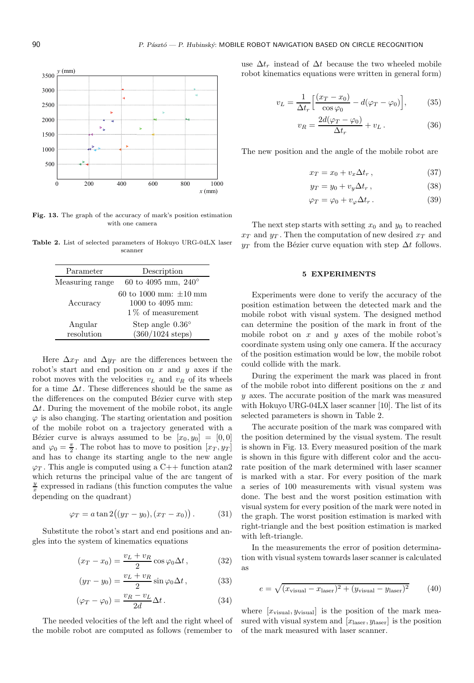

Fig. 13. The graph of the accuracy of mark's position estimation with one camera

Table 2. List of selected parameters of Hokuyo URG-04LX laser scanner

| Parameter             | Description                                                            |
|-----------------------|------------------------------------------------------------------------|
| Measuring range       | 60 to 4095 mm, $240^{\circ}$                                           |
| Accuracy              | 60 to 1000 mm: $\pm 10$ mm<br>1000 to 4095 mm:<br>$1\%$ of measurement |
| Angular<br>resolution | Step angle $0.36^{\circ}$<br>$(360/1024 \text{ steps})$                |

Here  $\Delta x_T$  and  $\Delta y_T$  are the differences between the robot's start and end position on  $x$  and  $y$  axes if the robot moves with the velocities  $v_L$  and  $v_R$  of its wheels for a time  $\Delta t$ . These differences should be the same as the differences on the computed Bézier curve with step  $\Delta t$ . During the movement of the mobile robot, its angle  $\varphi$  is also changing. The starting orientation and position of the mobile robot on a trajectory generated with a Bézier curve is always assumed to be  $[x_0, y_0] = [0, 0]$ and  $\varphi_0 = \frac{\pi}{2}$ . The robot has to move to position  $[x_T, y_T]$ and has to change its starting angle to the new angle  $\varphi_T$ . This angle is computed using a C++ function atan2 which returns the principal value of the arc tangent of  $\frac{y}{x}$  expressed in radians (this function computes the value depending on the quadrant)

$$
\varphi_T = a \tan 2((y_T - y_0), (x_T - x_0)).
$$
 (31)

Substitute the robot's start and end positions and angles into the system of kinematics equations

$$
(x_T - x_0) = \frac{v_L + v_R}{2} \cos \varphi_0 \Delta t, \qquad (32)
$$

$$
(y_T - y_0) = \frac{v_L + v_R}{2} \sin \varphi_0 \Delta t, \qquad (33)
$$

$$
(\varphi_T - \varphi_0) = \frac{v_R - v_L}{2d} \Delta t. \tag{34}
$$

The needed velocities of the left and the right wheel of the mobile robot are computed as follows (remember to use  $\Delta t_r$  instead of  $\Delta t$  because the two wheeled mobile robot kinematics equations were written in general form)

$$
v_L = \frac{1}{\Delta t_r} \left[ \frac{(x_T - x_0)}{\cos \varphi_0} - d(\varphi_T - \varphi_0) \right],\tag{35}
$$

$$
v_R = \frac{2d(\varphi_T - \varphi_0)}{\Delta t_r} + v_L.
$$
 (36)

The new position and the angle of the mobile robot are

$$
x_T = x_0 + v_x \Delta t_r, \qquad (37)
$$

$$
y_T = y_0 + v_y \Delta t_r, \qquad (38)
$$

$$
\varphi_T = \varphi_0 + v_\varphi \Delta t_r. \tag{39}
$$

The next step starts with setting  $x_0$  and  $y_0$  to reached  $x_T$  and  $y_T$ . Then the computation of new desired  $x_T$  and  $y_T$  from the Bézier curve equation with step  $\Delta t$  follows.

### 5 EXPERIMENTS

Experiments were done to verify the accuracy of the position estimation between the detected mark and the mobile robot with visual system. The designed method can determine the position of the mark in front of the mobile robot on  $x$  and  $y$  axes of the mobile robot's coordinate system using only one camera. If the accuracy of the position estimation would be low, the mobile robot could collide with the mark.

During the experiment the mark was placed in front of the mobile robot into different positions on the  $x$  and y axes. The accurate position of the mark was measured with Hokuyo URG-04LX laser scanner [10]. The list of its selected parameters is shown in Table 2.

The accurate position of the mark was compared with the position determined by the visual system. The result is shown in Fig. 13. Every measured position of the mark is shown in this figure with different color and the accurate position of the mark determined with laser scanner is marked with a star. For every position of the mark a series of 100 measurements with visual system was done. The best and the worst position estimation with visual system for every position of the mark were noted in the graph. The worst position estimation is marked with right-triangle and the best position estimation is marked with left-triangle.

In the measurements the error of position determination with visual system towards laser scanner is calculated as

$$
e = \sqrt{(x_{\text{visual}} - x_{\text{laser}})^2 + (y_{\text{visual}} - y_{\text{laser}})^2}
$$
 (40)

where  $[x_{\text{visual}}, y_{\text{visual}}]$  is the position of the mark measured with visual system and  $[x<sub>laser</sub>, y<sub>laser</sub>]$  is the position of the mark measured with laser scanner.